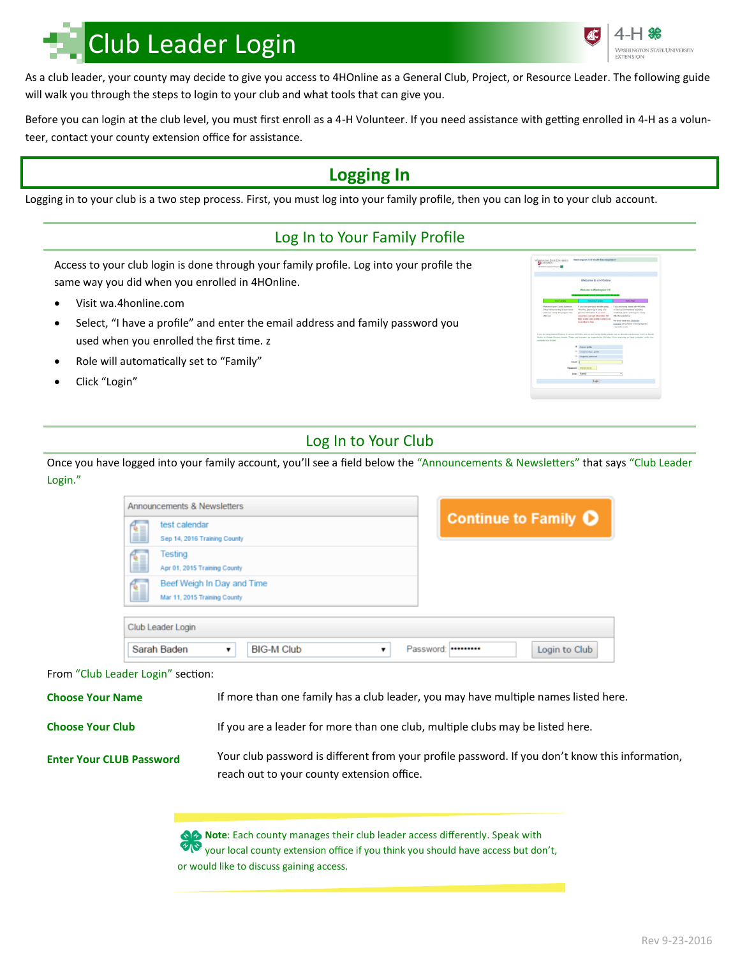# Club Leader Login

As a club leader, your county may decide to give you access to 4HOnline as a General Club, Project, or Resource Leader. The following guide will walk you through the steps to login to your club and what tools that can give you.

Before you can login at the club level, you must first enroll as a 4-H Volunteer. If you need assistance with getting enrolled in 4-H as a volunteer, contact your county extension office for assistance.

# **Logging In**

Logging in to your club is a two step process. First, you must log into your family profile, then you can log in to your club account.

## Log In to Your Family Profile

Access to your club login is done through your family profile. Log into your profile the same way you did when you enrolled in 4HOnline.

- Visit wa.4honline.com
- Select, "I have a profile" and enter the email address and family password you used when you enrolled the first time. z
- Role will automatically set to "Family"
- Click "Login"

## Log In to Your Club

Once you have logged into your family account, you'll see a field below the "Announcements & Newsletters" that says "Club Leader Login."

|                                   |                                         | Announcements & Newsletters                                |                                                                                     |                   |   |  | <b>Continue to Family O</b> |  |               |  |
|-----------------------------------|-----------------------------------------|------------------------------------------------------------|-------------------------------------------------------------------------------------|-------------------|---|--|-----------------------------|--|---------------|--|
|                                   |                                         | test calendar<br>Sep 14, 2016 Training County              |                                                                                     |                   |   |  |                             |  |               |  |
|                                   | Testing<br>Apr 01, 2015 Training County |                                                            |                                                                                     |                   |   |  |                             |  |               |  |
|                                   |                                         | Beef Weigh In Day and Time<br>Mar 11, 2015 Training County |                                                                                     |                   |   |  |                             |  |               |  |
|                                   | Club Leader Login                       |                                                            |                                                                                     |                   |   |  |                             |  |               |  |
|                                   | Sarah Baden                             |                                                            |                                                                                     | <b>BIG-M Club</b> | ▼ |  | Password:                   |  | Login to Club |  |
| From "Club Leader Login" section: |                                         |                                                            |                                                                                     |                   |   |  |                             |  |               |  |
| <b>Choose Your Name</b>           |                                         |                                                            | If more than one family has a club leader, you may have multiple names listed here. |                   |   |  |                             |  |               |  |
| <b>Choose Your Club</b>           |                                         |                                                            | If you are a leader for more than one club, multiple clubs may be listed here.      |                   |   |  |                             |  |               |  |

**Enter Your CLUB Password**

Your club password is different from your profile password. If you don't know this information, reach out to your county extension office.

**Note:** Each county manages their club leader access differently. Speak with your local county extension office if you think you should have access but don't,

or would like to discuss gaining access.